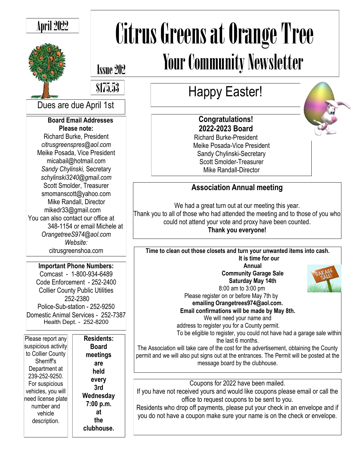# April 2022



# Citrus Greens at Orange Tree Your Community Newsletter

# Issue 202

\$175.53

Dues are due April 1st

#### **Board Email Addresses Please note:**

Richard Burke, President *citrusgreenspres@aol.com* Meike Posada, Vice President micabail@hotmail.com *Sandy Chylinski,* Secretary *schylinski3240@gmail.com* Scott Smolder, Treasurer smomanscott@yahoo.com Mike Randall, Director mikedr33@gmail.com You can also contact our office at 348-1154 or email Michele at *OrangetreeS974@aol.com Website:* citrusgreenshoa.com

**Important Phone Numbers:** Comcast - 1-800-934-6489 Code Enforcement - 252-2400 Collier County Public Utilities 252-2380 Police-Sub-station - 252-9250 Domestic Animal Services - 252-7387 Health Dept. - 252-8200

Please report any suspicious activity to Collier County Sherriff's Department at 239-252-9250. For suspicious vehicles, you will need license plate number and vehicle description.

| <b>Residents:</b> |
|-------------------|
| Board             |
| meetings          |
| are               |
| held              |
| every             |
| 3rd               |
| Wednesday         |
| 7:00 p.m.         |
| at                |
| the               |
| clubhouse.        |

# Happy Easter!

## **Congratulations! 2022-2023 Board**

Richard Burke-President Meike Posada-Vice President Sandy Chylinski-Secretary Scott Smolder-Treasurer Mike Randall-Director

## **Association Annual meeting**

We had a great turn out at our meeting this year. Thank you to all of those who had attended the meeting and to those of you who

could not attend your vote and proxy have been counted.

#### **Thank you everyone!**

**Time to clean out those closets and turn your unwanted items into cash. It is time for our** 

**Annual Community Garage Sale Saturday May 14th** 8:00 am to 3:00 pm



Please register on or before May 7th by **emailing Orangetrees974@aol.com. Email confirmations will be made by May 8th.** We will need your name and

address to register you for a County permit.

To be eligible to register, you could not have had a garage sale within the last 6 months.

The Association will take care of the cost for the advertisement, obtaining the County permit and we will also put signs out at the entrances. The Permit will be posted at the message board by the clubhouse.

Coupons for 2022 have been mailed.

If you have not received yours and would like coupons please email or call the office to request coupons to be sent to you.

Residents who drop off payments, please put your check in an envelope and if you do not have a coupon make sure your name is on the check or envelope.

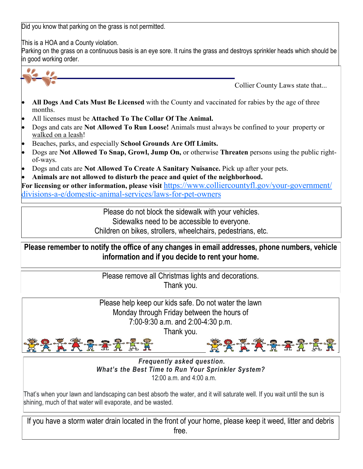Did you know that parking on the grass is not permitted.

This is a HOA and a County violation.

Parking on the grass on a continuous basis is an eye sore. It ruins the grass and destroys sprinkler heads which should be in good working order.



- Beaches, parks, and especially **School Grounds Are Off Limits.**
- Dogs are **Not Allowed To Snap, Growl, Jump On,** or otherwise **Threaten** persons using the public rightof-ways.
- Dogs and cats are **Not Allowed To Create A Sanitary Nuisance.** Pick up after your pets.

• **Animals are not allowed to disturb the peace and quiet of the neighborhood.**

**For licensing or other information, please visit** [https://www.colliercountyfl.gov/your](https://www.colliercountyfl.gov/your-government/divisions-a-e/domestic-animal-services/laws-for-pet-owners)-government/ divisions-a-e/domestic-animal-[services/laws](https://www.colliercountyfl.gov/your-government/divisions-a-e/domestic-animal-services/laws-for-pet-owners)-for-pet-owners

Please do not block the sidewalk with your vehicles.

Sidewalks need to be accessible to everyone.

Children on bikes, strollers, wheelchairs, pedestrians, etc.

**Please remember to notify the office of any changes in email addresses, phone numbers, vehicle information and if you decide to rent your home.**

> Please remove all Christmas lights and decorations. Thank you.

Please help keep our kids safe. Do not water the lawn Monday through Friday between the hours of 7:00-9:30 a.m. and 2:00-4:30 p.m.

Thank you.



*Frequently asked question. What's the Best Time to Run Your Sprinkler System?* 12:00 a.m. and 4:00 a.m.

That's when your lawn and landscaping can best absorb the water, and it will saturate well. If you wait until the sun is shining, much of that water will evaporate, and be wasted.

If you have a storm water drain located in the front of your home, please keep it weed, litter and debris free.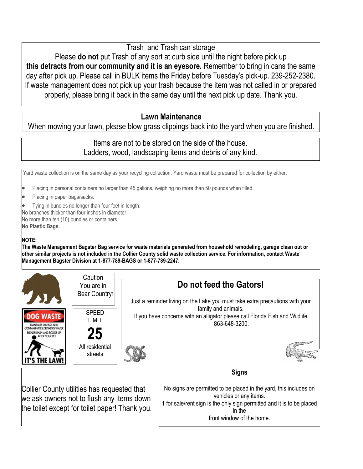Trash and Trash can storage

Please **do not** put Trash of any sort at curb side until the night before pick up **this detracts from our community and it is an eyesore.** Remember to bring in cans the same day after pick up. Please call in BULK items the Friday before Tuesday's pick-up. 239-252-2380. If waste management does not pick up your trash because the item was not called in or prepared properly, please bring it back in the same day until the next pick up date. Thank you.

#### **Lawn Maintenance**

When mowing your lawn, please blow grass clippings back into the yard when you are finished.

#### Items are not to be stored on the side of the house. Ladders, wood, landscaping items and debris of any kind.

Yard waste collection is on the same day as your recycling collection. Yard waste must be prepared for collection by either:

- Placing in personal containers no larger than 45 gallons, weighing no more than 50 pounds when filled.
- Placing in paper bags/sacks.
- Tying in bundles no longer than four feet in length.
- No branches thicker than four inches in diameter.
- No more than ten (10) bundles or containers. **No Plastic Bags.**

#### **NOTE:**

**The Waste Management Bagster Bag service for waste materials generated from household remodeling, garage clean out or other similar projects is not included in the Collier County solid waste collection service. For information, contact Waste Management Bagster Division at 1-877-789-BAGS or 1-877-789-2247.**

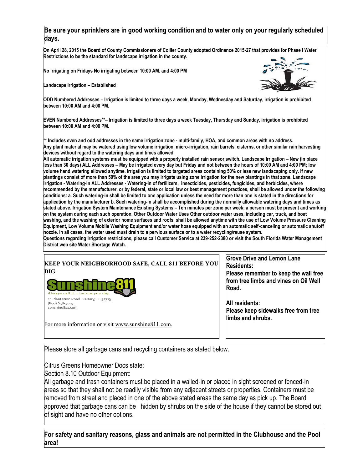#### **Be sure your sprinklers are in good working condition and to water only on your regularly scheduled days.**

**On April 28, 2015 the Board of County Commissioners of Collier County adopted Ordinance 2015-27 that provides for Phase I Water Restrictions to be the standard for landscape irrigation in the county.**

**No irrigating on Fridays No irrigating between 10:00 AM. and 4:00 PM** 

**Landscape Irrigation – Established** 



**ODD Numbered Addresses – Irrigation is limited to three days a week, Monday, Wednesday and Saturday, irrigation is prohibited between 10:00 AM and 4:00 PM.** 

**EVEN Numbered Addresses\*\*– Irrigation is limited to three days a week Tuesday, Thursday and Sunday, irrigation is prohibited between 10:00 AM and 4:00 PM.** 

**\*\* Includes even and odd addresses in the same irrigation zone - multi-family, HOA, and common areas with no address. Any plant material may be watered using low volume irrigation, micro-irrigation, rain barrels, cisterns, or other similar rain harvesting devices without regard to the watering days and times allowed.** 

**All automatic irrigation systems must be equipped with a properly installed rain sensor switch. Landscape Irrigation – New (in place less than 30 days) ALL Addresses – May be irrigated every day but Friday and not between the hours of 10:00 AM and 4:00 PM; low volume hand watering allowed anytime. Irrigation is limited to targeted areas containing 50% or less new landscaping only. If new plantings consist of more than 50% of the area you may irrigate using zone irrigation for the new plantings in that zone. Landscape Irrigation - Watering-in ALL Addresses - Watering-in of fertilizers, insecticides, pesticides, fungicides, and herbicides, where recommended by the manufacturer, or by federal, state or local law or best management practices, shall be allowed under the following conditions: a. Such watering-in shall be limited to one application unless the need for more than one is stated in the directions for application by the manufacturer b. Such watering-in shall be accomplished during the normally allowable watering days and times as stated above. Irrigation System Maintenance Existing Systems – Ten minutes per zone per week; a person must be present and working on the system during each such operation. Other Outdoor Water Uses Other outdoor water uses, including car, truck, and boat washing, and the washing of exterior home surfaces and roofs, shall be allowed anytime with the use of Low Volume Pressure Cleaning Equipment, Low Volume Mobile Washing Equipment and/or water hose equipped with an automatic self-canceling or automatic shutoff nozzle. In all cases, the water used must drain to a pervious surface or to a water recycling/reuse system.** 

**Questions regarding irrigation restrictions, please call Customer Service at 239-252-2380 or visit the South Florida Water Management District web site Water Shortage Watch.**



**Grove Drive and Lemon Lane Residents:**

**Please remember to keep the wall free from tree limbs and vines on Oil Well Road.**

**All residents: Please keep sidewalks free from tree limbs and shrubs.**

Please store all garbage cans and recycling containers as stated below.

Citrus Greens Homeowner Docs state:

Section 8.10 Outdoor Equipment:

All garbage and trash containers must be placed in a walled-in or placed in sight screened or fenced-in areas so that they shall not be readily visible from any adjacent streets or properties. Containers must be removed from street and placed in one of the above stated areas the same day as pick up. The Board approved that garbage cans can be hidden by shrubs on the side of the house if they cannot be stored out of sight and have no other options.

**For safety and sanitary reasons, glass and animals are not permitted in the Clubhouse and the Pool area!**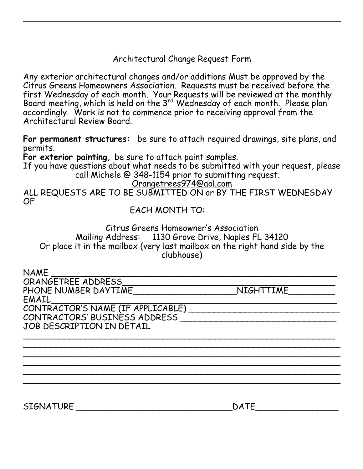Architectural Change Request Form

Any exterior architectural changes and/or additions Must be approved by the Citrus Greens Homeowners Association. Requests must be received before the first Wednesday of each month. Your Requests will be reviewed at the monthly Board meeting, which is held on the 3<sup>rd</sup> Wednesday of each month. Please plan accordingly. Work is not to commence prior to receiving approval from the Architectural Review Board.

**For permanent structures:** be sure to attach required drawings, site plans, and permits.

**For exterior painting,** be sure to attach paint samples.

If you have questions about what needs to be submitted with your request, please call Michele @ 348-1154 prior to submitting request.

Orangetrees974@aol.com

ALL REQUESTS ARE TO BE SUBMITTED ON or BY THE FIRST WEDNESDAY OF

EACH MONTH TO:

Citrus Greens Homeowner's Association Mailing Address: 1130 Grove Drive, Naples FL 34120 Or place it in the mailbox (very last mailbox on the right hand side by the clubhouse)

\_\_\_\_\_\_\_\_\_\_\_\_\_\_\_\_\_\_\_\_\_\_\_\_\_\_\_\_\_\_\_\_\_\_\_\_\_\_\_\_\_\_\_\_\_\_\_\_\_\_\_\_\_\_\_\_\_\_\_\_ \_\_\_\_\_\_\_\_\_\_\_\_\_\_\_\_\_\_\_\_\_\_\_\_\_\_\_\_\_\_\_\_\_\_\_\_\_\_\_\_\_\_\_\_\_\_\_\_\_\_\_\_\_\_\_\_\_\_\_\_\_ \_\_\_\_\_\_\_\_\_\_\_\_\_\_\_\_\_\_\_\_\_\_\_\_\_\_\_\_\_\_\_\_\_\_\_\_\_\_\_\_\_\_\_\_\_\_\_\_\_\_\_\_\_\_\_\_\_\_\_\_\_ \_\_\_\_\_\_\_\_\_\_\_\_\_\_\_\_\_\_\_\_\_\_\_\_\_\_\_\_\_\_\_\_\_\_\_\_\_\_\_\_\_\_\_\_\_\_\_\_\_\_\_\_\_\_\_\_\_\_\_\_\_ \_\_\_\_\_\_\_\_\_\_\_\_\_\_\_\_\_\_\_\_\_\_\_\_\_\_\_\_\_\_\_\_\_\_\_\_\_\_\_\_\_\_\_\_\_\_\_\_\_\_\_\_\_\_\_\_\_\_\_\_\_ \_\_\_\_\_\_\_\_\_\_\_\_\_\_\_\_\_\_\_\_\_\_\_\_\_\_\_\_\_\_\_\_\_\_\_\_\_\_\_\_\_\_\_\_\_\_\_\_\_\_\_\_\_\_\_\_\_\_\_\_\_

NAME \_\_\_\_\_\_\_\_\_\_\_\_\_\_\_\_\_\_\_\_\_\_\_\_\_\_\_\_\_\_\_\_\_\_\_\_\_\_\_\_\_\_\_\_\_\_\_\_\_\_\_\_\_\_\_

ORANGETREE ADDRESS\_\_\_\_\_\_\_\_\_\_\_\_\_\_\_\_\_\_\_\_\_\_\_\_\_\_\_\_\_\_\_\_\_\_\_\_\_\_\_\_\_ PHONE NUMBER DAYTIME \_\_\_\_\_\_\_\_\_\_\_\_\_\_\_\_\_\_\_\_\_\_\_\_\_\_NIGHTTIME

EMAIL\_\_\_\_\_\_\_\_\_\_\_\_\_\_\_\_\_\_\_\_\_\_\_\_\_\_\_\_\_\_\_\_\_\_\_\_\_\_\_\_\_\_\_\_\_\_\_\_\_\_\_\_\_\_\_ CONTRACTOR'S NAME (IF APPLICABLE) \_\_\_\_\_\_\_\_\_\_\_\_\_\_\_\_\_\_\_\_\_\_\_\_\_\_\_\_\_ CONTRACTORS' BUSINESS ADDRESS \_\_\_\_\_\_\_\_\_\_\_\_\_\_\_\_\_\_\_\_\_\_\_\_\_\_\_\_\_\_ JOB DESCRIPTION IN DETAIL

SIGNATURE \_\_\_\_\_\_\_\_\_\_\_\_\_\_\_\_\_\_\_\_\_\_\_\_\_\_\_\_\_\_DATE\_\_\_\_\_\_\_\_\_\_\_\_\_\_\_\_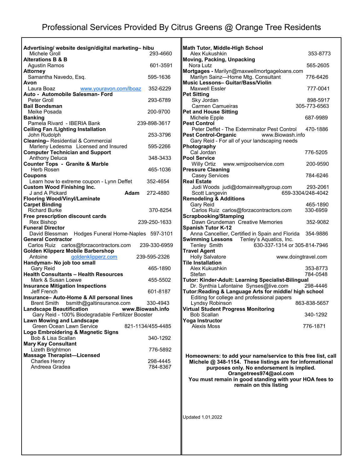| Advertising/ website design/digital marketing-hibu                                |                      |
|-----------------------------------------------------------------------------------|----------------------|
| Michele Groll                                                                     | 293-4660             |
| <b>Alterations B &amp; B</b>                                                      |                      |
| Agustin Ramos<br>Attorney                                                         | 601-3591             |
| Samantha Navedo, Esq.                                                             | 595-1636             |
| Avon<br>Laura Boaz<br>www.youravon.com/lboaz                                      | 352-6229             |
| Auto - Automobile Salesman- Ford                                                  |                      |
| Peter Groll<br><b>Bail Bondsman</b>                                               | 293-6789             |
| Meike Posada                                                                      | 200-9700             |
| <b>Banking</b><br>Pamela Rivard - IBERIA Bank                                     | 239-898-3617         |
| <b>Ceiling Fan /Lighting Installation</b>                                         |                      |
| John Rudolph                                                                      | 253-3796             |
| Cleaning-Residential & Commercial                                                 |                      |
| Marleny Ledesma Licensed and Insured                                              | 595-2266             |
| <b>Computer Technician and Support</b>                                            | 348-3433             |
| <b>Anthony Deluca</b><br><b>Counter Tops - Granite &amp; Marble</b>               |                      |
| Herb Rosen                                                                        | 465-1036             |
| Coupons                                                                           |                      |
| Learn how to extreme coupon - Lynn Deffet<br><b>Custom Wood Finishing Inc.</b>    | 352-4654             |
| J and A Pickard<br>Adam                                                           | 272-4880             |
| <b>Flooring Wood/Vinyl/Laminate</b>                                               |                      |
| <b>Carpet Binding</b>                                                             |                      |
| <b>Richard Burke</b>                                                              | 370-8254             |
| Free prescription discount cards<br>Rex Bishop                                    | 239-250-1633         |
| <b>Funeral Director</b>                                                           |                      |
| David Blessman Hodges Funeral Home-Naples 597-3101                                |                      |
| <b>General Contractor</b><br>Carlos Ruiz carlos@forzacontractors.com              | 239-330-6959         |
| <b>Golden Klipperz Mobile Barbershop</b>                                          |                      |
| Antoine<br>goldenklipperz.com                                                     | 239-595-2326         |
| Handyman- No job too small                                                        |                      |
| Gary Reid<br><b>Health Consultants - Health Resources</b>                         | 465-1890             |
| Mark & Susan Loewe                                                                | 455-5502             |
| <b>Insurance Mitigation Inspections</b>                                           |                      |
| Jeff French                                                                       | 601-8187             |
| Insurance- Auto-Home & All personal lines<br>Brent Smith bsmith@galtinsurance.com | 330-4943             |
| <b>Landscape Beautification</b>                                                   | www.Biowash.info     |
| Gary Reid - 100% Biodegradable Fertilizer Booster                                 |                      |
| <b>Lawn Mowing and Landscape</b>                                                  |                      |
| <b>Green Ocean Lawn Service</b>                                                   | 821-1134/455-4485    |
| Logo Embroidering & Magnetic Signs<br>Bob & Lisa Scallan                          | 340-1292             |
| <b>Mary Kay Consultant</b>                                                        |                      |
| Lizeth Brightmon                                                                  | 776-5892             |
| <b>Massage Therapist-Licensed</b>                                                 |                      |
| <b>Charles Henry</b><br>Andreea Gradea                                            | 298-4445<br>784-8367 |
|                                                                                   |                      |
|                                                                                   |                      |
|                                                                                   |                      |
|                                                                                   |                      |
|                                                                                   |                      |

| Math Tutor, Middle-High School<br>Alex Kukushkin                                                            | 353-8773          |
|-------------------------------------------------------------------------------------------------------------|-------------------|
| <b>Moving, Packing, Unpacking</b>                                                                           |                   |
| Nora Lutz<br>Mortgages - Marilyn@maxwellmortgageloans.com                                                   | 565-2605          |
| Marilyn Sainz-Home Mtg. Consultant<br>Music Lessons- Guitar/Bass/Violin                                     | 776-6426          |
| <b>Maxwell Essler</b>                                                                                       | 777-0041          |
| <b>Pet Sitting</b><br>Sky Jordan                                                                            | 898-5917          |
| <b>Carmen Camueiras</b>                                                                                     | 305-773-6563      |
| <b>Pet and House Sitting</b><br>Michele Epple                                                               | 687-9989          |
| <b>Pest Control</b><br>Peter Deffet - The Exterminator Pest Control                                         | 470-1886          |
| <b>Pest Control-Organic</b><br>www.Biowash.info                                                             |                   |
| Gary Reid - For all of your landscaping needs<br>Photography                                                |                   |
| Cal Jordan                                                                                                  | 776-5205          |
| <b>Pool Service</b><br>Willy Ortiz www.wmjpoolservice.com                                                   | 200-9590          |
| <b>Pressure Cleaning</b>                                                                                    |                   |
| <b>Casey Services</b><br><b>Real Estate</b>                                                                 | 784-6246          |
| Judi Woods judi@domainrealtygroup.com                                                                       | 293-2061          |
| Scott Langevin<br><b>Remodeling &amp; Additions</b>                                                         | 659-3304/248-4042 |
| Gary Reid                                                                                                   | 465-1890          |
| Carlos Ruiz carlos@forzacontractors.com                                                                     | 330-6959          |
| <b>Scrapbooking/Stamping</b><br>Dawn Grundeman Creative Memories                                            | 352-9082          |
| <b>Spanish Tutor K-12</b>                                                                                   |                   |
| Anna Cancellier, Certified in Spain and Florida 354-9886<br><b>Swimming Lessons</b> Tenley's Aquatics, Inc. |                   |
| Tenley Smith<br>630-337-1314 or 305-814-7946                                                                |                   |
| <b>Travel Agent</b><br><b>Holly Salvatore</b><br>www.doingtravel.com                                        |                   |
| <b>Tile Installation</b><br>Alex Kukushkin                                                                  | 353-8773          |
| Stefan                                                                                                      | 784-0548          |
| Tutor: Kinder-Adult: Learning Specialist-Bilingual<br>Dr. Synthia Lafontaine Synses@live.com                | 298-4446          |
| Tutor:Reading & Language Arts for middle/ high school                                                       |                   |
| Editing for college and professional papers<br>Lyndsy Robinson                                              | 863-838-5657      |
| <b>Virtual Student Progress Monitoring</b><br><b>Bob Scallan</b>                                            |                   |
| <b>Yoga Instructor</b>                                                                                      | 340-1292          |
| <b>Alexis Moss</b>                                                                                          | 776-1871          |
|                                                                                                             |                   |
|                                                                                                             |                   |
| Homeowners: to add your name/service to this free list, call                                                |                   |
| Michele @ 348-1154. These listings are for informational<br>purposes only. No endorsement is implied.       |                   |
| Orangetrees974@aol.com                                                                                      |                   |
| You must remain in good standing with your HOA fees to                                                      |                   |
| remain on this listing                                                                                      |                   |
|                                                                                                             |                   |
|                                                                                                             |                   |
| Updated 1.01.2022                                                                                           |                   |
|                                                                                                             |                   |
|                                                                                                             |                   |
|                                                                                                             |                   |
|                                                                                                             |                   |